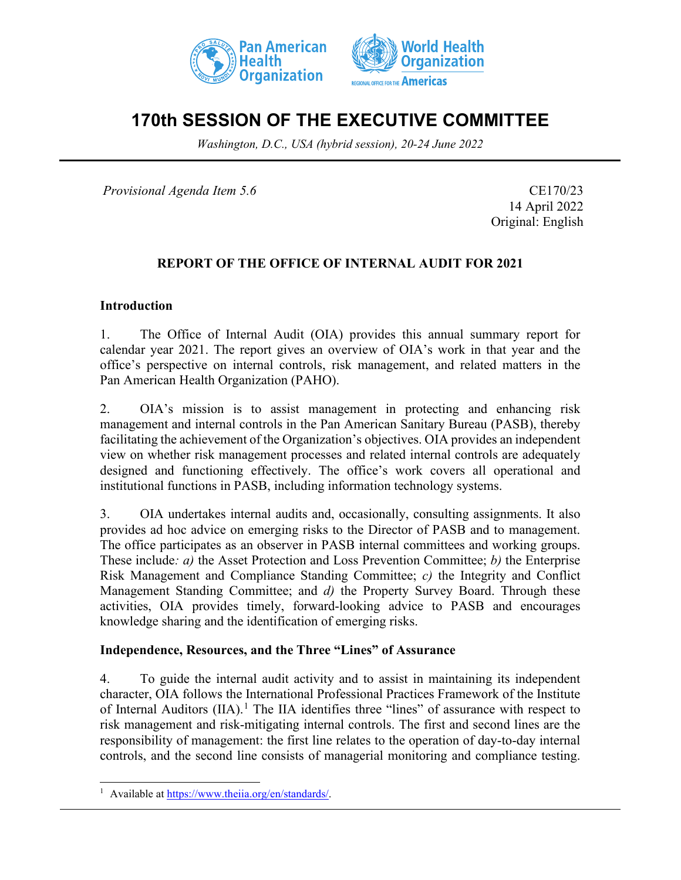



# **170th SESSION OF THE EXECUTIVE COMMITTEE**

*Washington, D.C., USA (hybrid session), 20-24 June 2022*

*Provisional Agenda Item 5.6* CE170/23

14 April 2022 Original: English

### **REPORT OF THE OFFICE OF INTERNAL AUDIT FOR 2021**

#### **Introduction**

1. The Office of Internal Audit (OIA) provides this annual summary report for calendar year 2021. The report gives an overview of OIA's work in that year and the office's perspective on internal controls, risk management, and related matters in the Pan American Health Organization (PAHO).

2. OIA's mission is to assist management in protecting and enhancing risk management and internal controls in the Pan American Sanitary Bureau (PASB), thereby facilitating the achievement of the Organization's objectives. OIA provides an independent view on whether risk management processes and related internal controls are adequately designed and functioning effectively. The office's work covers all operational and institutional functions in PASB, including information technology systems.

3. OIA undertakes internal audits and, occasionally, consulting assignments. It also provides ad hoc advice on emerging risks to the Director of PASB and to management. The office participates as an observer in PASB internal committees and working groups. These include*: a)* the Asset Protection and Loss Prevention Committee; *b)* the Enterprise Risk Management and Compliance Standing Committee; *c)* the Integrity and Conflict Management Standing Committee; and *d)* the Property Survey Board. Through these activities, OIA provides timely, forward-looking advice to PASB and encourages knowledge sharing and the identification of emerging risks.

#### **Independence, Resources, and the Three "Lines" of Assurance**

4. To guide the internal audit activity and to assist in maintaining its independent character, OIA follows the International Professional Practices Framework of the Institute of Internal Auditors (IIA).<sup>[1](#page-0-0)</sup> The IIA identifies three "lines" of assurance with respect to risk management and risk-mitigating internal controls. The first and second lines are the responsibility of management: the first line relates to the operation of day-to-day internal controls, and the second line consists of managerial monitoring and compliance testing.

<span id="page-0-0"></span><sup>&</sup>lt;sup>1</sup> Available at [https://www.theiia.org/en/standards/.](https://www.theiia.org/en/standards/)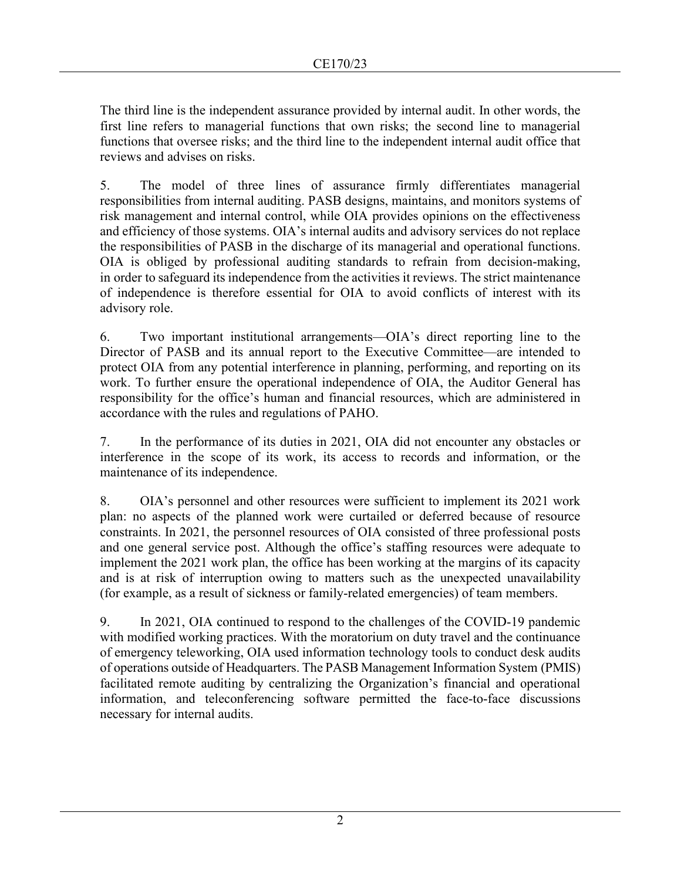The third line is the independent assurance provided by internal audit. In other words, the first line refers to managerial functions that own risks; the second line to managerial functions that oversee risks; and the third line to the independent internal audit office that reviews and advises on risks.

5. The model of three lines of assurance firmly differentiates managerial responsibilities from internal auditing. PASB designs, maintains, and monitors systems of risk management and internal control, while OIA provides opinions on the effectiveness and efficiency of those systems. OIA's internal audits and advisory services do not replace the responsibilities of PASB in the discharge of its managerial and operational functions. OIA is obliged by professional auditing standards to refrain from decision-making, in order to safeguard its independence from the activities it reviews. The strict maintenance of independence is therefore essential for OIA to avoid conflicts of interest with its advisory role.

6. Two important institutional arrangements—OIA's direct reporting line to the Director of PASB and its annual report to the Executive Committee—are intended to protect OIA from any potential interference in planning, performing, and reporting on its work. To further ensure the operational independence of OIA, the Auditor General has responsibility for the office's human and financial resources, which are administered in accordance with the rules and regulations of PAHO.

7. In the performance of its duties in 2021, OIA did not encounter any obstacles or interference in the scope of its work, its access to records and information, or the maintenance of its independence.

8. OIA's personnel and other resources were sufficient to implement its 2021 work plan: no aspects of the planned work were curtailed or deferred because of resource constraints. In 2021, the personnel resources of OIA consisted of three professional posts and one general service post. Although the office's staffing resources were adequate to implement the 2021 work plan, the office has been working at the margins of its capacity and is at risk of interruption owing to matters such as the unexpected unavailability (for example, as a result of sickness or family-related emergencies) of team members.

9. In 2021, OIA continued to respond to the challenges of the COVID-19 pandemic with modified working practices. With the moratorium on duty travel and the continuance of emergency teleworking, OIA used information technology tools to conduct desk audits of operations outside of Headquarters. The PASB Management Information System (PMIS) facilitated remote auditing by centralizing the Organization's financial and operational information, and teleconferencing software permitted the face-to-face discussions necessary for internal audits.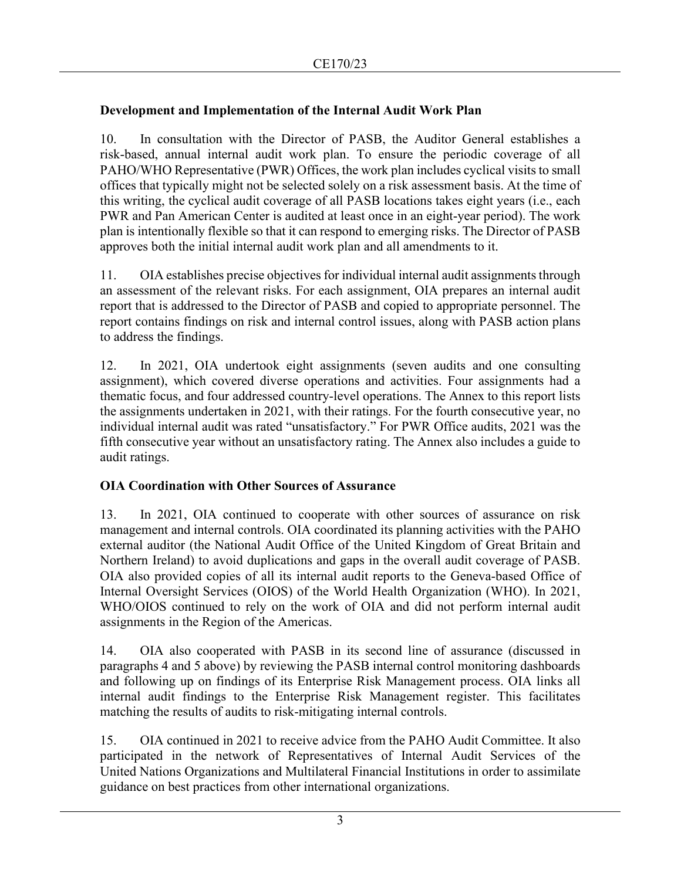# **Development and Implementation of the Internal Audit Work Plan**

10. In consultation with the Director of PASB, the Auditor General establishes a risk-based, annual internal audit work plan. To ensure the periodic coverage of all PAHO/WHO Representative (PWR) Offices, the work plan includes cyclical visits to small offices that typically might not be selected solely on a risk assessment basis. At the time of this writing, the cyclical audit coverage of all PASB locations takes eight years (i.e., each PWR and Pan American Center is audited at least once in an eight-year period). The work plan is intentionally flexible so that it can respond to emerging risks. The Director of PASB approves both the initial internal audit work plan and all amendments to it.

11. OIA establishes precise objectives for individual internal audit assignments through an assessment of the relevant risks. For each assignment, OIA prepares an internal audit report that is addressed to the Director of PASB and copied to appropriate personnel. The report contains findings on risk and internal control issues, along with PASB action plans to address the findings.

12. In 2021, OIA undertook eight assignments (seven audits and one consulting assignment), which covered diverse operations and activities. Four assignments had a thematic focus, and four addressed country-level operations. The Annex to this report lists the assignments undertaken in 2021, with their ratings. For the fourth consecutive year, no individual internal audit was rated "unsatisfactory." For PWR Office audits, 2021 was the fifth consecutive year without an unsatisfactory rating. The Annex also includes a guide to audit ratings.

# **OIA Coordination with Other Sources of Assurance**

13. In 2021, OIA continued to cooperate with other sources of assurance on risk management and internal controls. OIA coordinated its planning activities with the PAHO external auditor (the National Audit Office of the United Kingdom of Great Britain and Northern Ireland) to avoid duplications and gaps in the overall audit coverage of PASB. OIA also provided copies of all its internal audit reports to the Geneva-based Office of Internal Oversight Services (OIOS) of the World Health Organization (WHO). In 2021, WHO/OIOS continued to rely on the work of OIA and did not perform internal audit assignments in the Region of the Americas.

14. OIA also cooperated with PASB in its second line of assurance (discussed in paragraphs 4 and 5 above) by reviewing the PASB internal control monitoring dashboards and following up on findings of its Enterprise Risk Management process. OIA links all internal audit findings to the Enterprise Risk Management register. This facilitates matching the results of audits to risk-mitigating internal controls.

15. OIA continued in 2021 to receive advice from the PAHO Audit Committee. It also participated in the network of Representatives of Internal Audit Services of the United Nations Organizations and Multilateral Financial Institutions in order to assimilate guidance on best practices from other international organizations.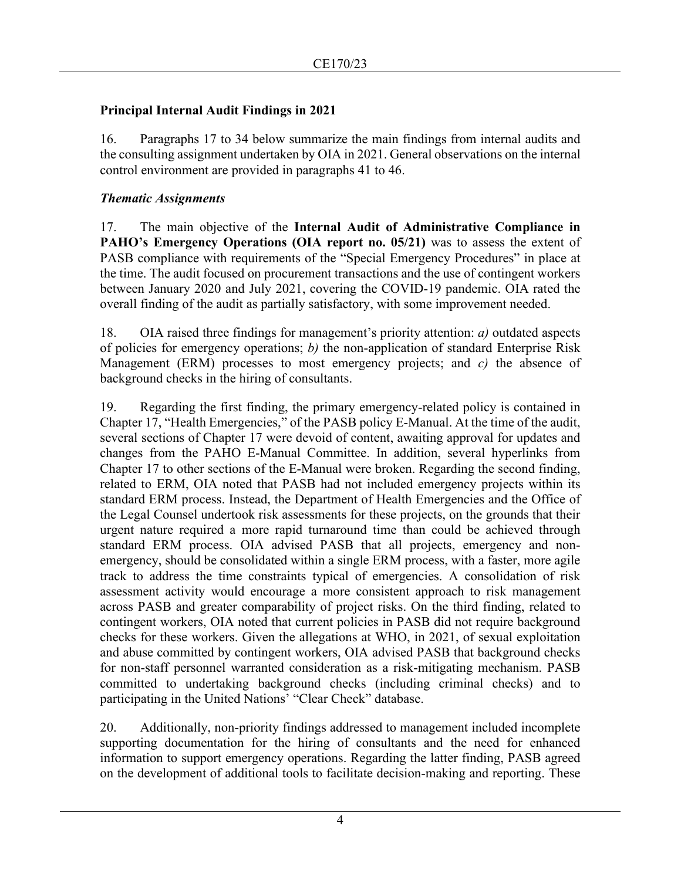#### **Principal Internal Audit Findings in 2021**

16. Paragraphs 17 to 34 below summarize the main findings from internal audits and the consulting assignment undertaken by OIA in 2021. General observations on the internal control environment are provided in paragraphs 41 to 46.

#### *Thematic Assignments*

17. The main objective of the **Internal Audit of Administrative Compliance in PAHO's Emergency Operations (OIA report no. 05/21)** was to assess the extent of PASB compliance with requirements of the "Special Emergency Procedures" in place at the time. The audit focused on procurement transactions and the use of contingent workers between January 2020 and July 2021, covering the COVID-19 pandemic. OIA rated the overall finding of the audit as partially satisfactory, with some improvement needed.

18. OIA raised three findings for management's priority attention: *a)* outdated aspects of policies for emergency operations; *b)* the non-application of standard Enterprise Risk Management (ERM) processes to most emergency projects; and *c)* the absence of background checks in the hiring of consultants.

19. Regarding the first finding, the primary emergency-related policy is contained in Chapter 17, "Health Emergencies," of the PASB policy E-Manual. At the time of the audit, several sections of Chapter 17 were devoid of content, awaiting approval for updates and changes from the PAHO E-Manual Committee. In addition, several hyperlinks from Chapter 17 to other sections of the E-Manual were broken. Regarding the second finding, related to ERM, OIA noted that PASB had not included emergency projects within its standard ERM process. Instead, the Department of Health Emergencies and the Office of the Legal Counsel undertook risk assessments for these projects, on the grounds that their urgent nature required a more rapid turnaround time than could be achieved through standard ERM process. OIA advised PASB that all projects, emergency and nonemergency, should be consolidated within a single ERM process, with a faster, more agile track to address the time constraints typical of emergencies. A consolidation of risk assessment activity would encourage a more consistent approach to risk management across PASB and greater comparability of project risks. On the third finding, related to contingent workers, OIA noted that current policies in PASB did not require background checks for these workers. Given the allegations at WHO, in 2021, of sexual exploitation and abuse committed by contingent workers, OIA advised PASB that background checks for non-staff personnel warranted consideration as a risk-mitigating mechanism. PASB committed to undertaking background checks (including criminal checks) and to participating in the United Nations' "Clear Check" database.

20. Additionally, non-priority findings addressed to management included incomplete supporting documentation for the hiring of consultants and the need for enhanced information to support emergency operations. Regarding the latter finding, PASB agreed on the development of additional tools to facilitate decision-making and reporting. These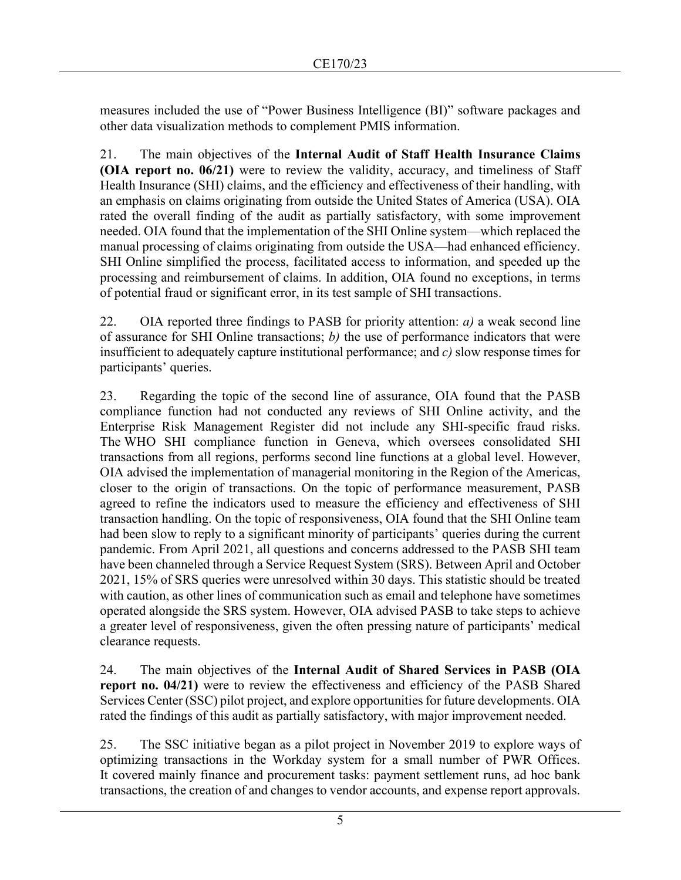measures included the use of "Power Business Intelligence (BI)" software packages and other data visualization methods to complement PMIS information.

21. The main objectives of the **Internal Audit of Staff Health Insurance Claims (OIA report no. 06/21)** were to review the validity, accuracy, and timeliness of Staff Health Insurance (SHI) claims, and the efficiency and effectiveness of their handling, with an emphasis on claims originating from outside the United States of America (USA). OIA rated the overall finding of the audit as partially satisfactory, with some improvement needed. OIA found that the implementation of the SHI Online system—which replaced the manual processing of claims originating from outside the USA—had enhanced efficiency. SHI Online simplified the process, facilitated access to information, and speeded up the processing and reimbursement of claims. In addition, OIA found no exceptions, in terms of potential fraud or significant error, in its test sample of SHI transactions.

22. OIA reported three findings to PASB for priority attention: *a)* a weak second line of assurance for SHI Online transactions; *b)* the use of performance indicators that were insufficient to adequately capture institutional performance; and *c)* slow response times for participants' queries.

23. Regarding the topic of the second line of assurance, OIA found that the PASB compliance function had not conducted any reviews of SHI Online activity, and the Enterprise Risk Management Register did not include any SHI-specific fraud risks. The WHO SHI compliance function in Geneva, which oversees consolidated SHI transactions from all regions, performs second line functions at a global level. However, OIA advised the implementation of managerial monitoring in the Region of the Americas, closer to the origin of transactions. On the topic of performance measurement, PASB agreed to refine the indicators used to measure the efficiency and effectiveness of SHI transaction handling. On the topic of responsiveness, OIA found that the SHI Online team had been slow to reply to a significant minority of participants' queries during the current pandemic. From April 2021, all questions and concerns addressed to the PASB SHI team have been channeled through a Service Request System (SRS). Between April and October 2021, 15% of SRS queries were unresolved within 30 days. This statistic should be treated with caution, as other lines of communication such as email and telephone have sometimes operated alongside the SRS system. However, OIA advised PASB to take steps to achieve a greater level of responsiveness, given the often pressing nature of participants' medical clearance requests.

24. The main objectives of the **Internal Audit of Shared Services in PASB (OIA report no. 04/21)** were to review the effectiveness and efficiency of the PASB Shared Services Center (SSC) pilot project, and explore opportunities for future developments. OIA rated the findings of this audit as partially satisfactory, with major improvement needed.

25. The SSC initiative began as a pilot project in November 2019 to explore ways of optimizing transactions in the Workday system for a small number of PWR Offices. It covered mainly finance and procurement tasks: payment settlement runs, ad hoc bank transactions, the creation of and changes to vendor accounts, and expense report approvals.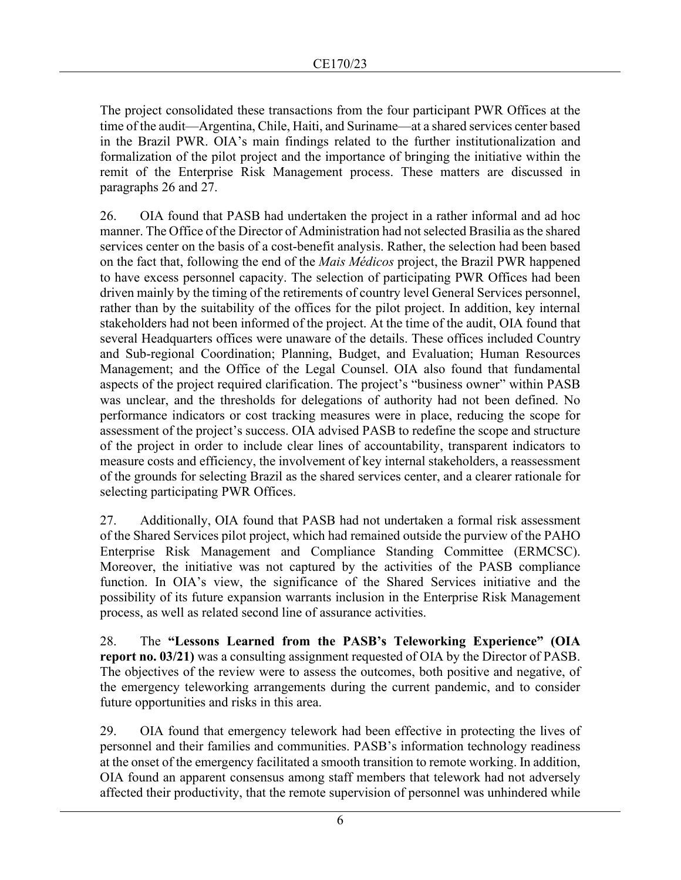The project consolidated these transactions from the four participant PWR Offices at the time of the audit—Argentina, Chile, Haiti, and Suriname—at a shared services center based in the Brazil PWR. OIA's main findings related to the further institutionalization and formalization of the pilot project and the importance of bringing the initiative within the remit of the Enterprise Risk Management process. These matters are discussed in paragraphs 26 and 27.

26. OIA found that PASB had undertaken the project in a rather informal and ad hoc manner. The Office of the Director of Administration had not selected Brasilia as the shared services center on the basis of a cost-benefit analysis. Rather, the selection had been based on the fact that, following the end of the *Mais Médicos* project, the Brazil PWR happened to have excess personnel capacity. The selection of participating PWR Offices had been driven mainly by the timing of the retirements of country level General Services personnel, rather than by the suitability of the offices for the pilot project. In addition, key internal stakeholders had not been informed of the project. At the time of the audit, OIA found that several Headquarters offices were unaware of the details. These offices included Country and Sub-regional Coordination; Planning, Budget, and Evaluation; Human Resources Management; and the Office of the Legal Counsel. OIA also found that fundamental aspects of the project required clarification. The project's "business owner" within PASB was unclear, and the thresholds for delegations of authority had not been defined. No performance indicators or cost tracking measures were in place, reducing the scope for assessment of the project's success. OIA advised PASB to redefine the scope and structure of the project in order to include clear lines of accountability, transparent indicators to measure costs and efficiency, the involvement of key internal stakeholders, a reassessment of the grounds for selecting Brazil as the shared services center, and a clearer rationale for selecting participating PWR Offices.

27. Additionally, OIA found that PASB had not undertaken a formal risk assessment of the Shared Services pilot project, which had remained outside the purview of the PAHO Enterprise Risk Management and Compliance Standing Committee (ERMCSC). Moreover, the initiative was not captured by the activities of the PASB compliance function. In OIA's view, the significance of the Shared Services initiative and the possibility of its future expansion warrants inclusion in the Enterprise Risk Management process, as well as related second line of assurance activities.

28. The **"Lessons Learned from the PASB's Teleworking Experience" (OIA report no. 03/21)** was a consulting assignment requested of OIA by the Director of PASB. The objectives of the review were to assess the outcomes, both positive and negative, of the emergency teleworking arrangements during the current pandemic, and to consider future opportunities and risks in this area.

29. OIA found that emergency telework had been effective in protecting the lives of personnel and their families and communities. PASB's information technology readiness at the onset of the emergency facilitated a smooth transition to remote working. In addition, OIA found an apparent consensus among staff members that telework had not adversely affected their productivity, that the remote supervision of personnel was unhindered while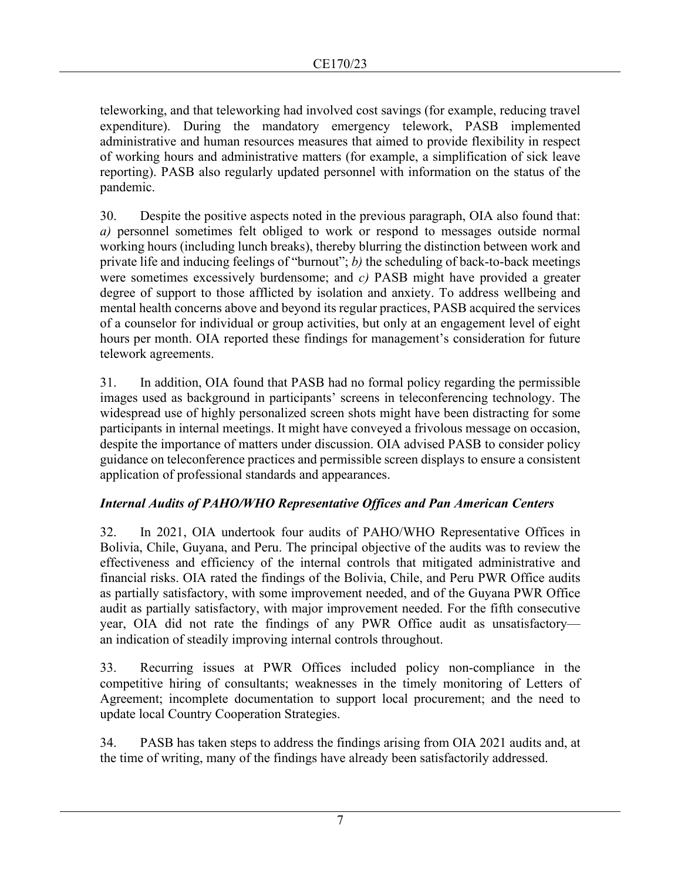teleworking, and that teleworking had involved cost savings (for example, reducing travel expenditure). During the mandatory emergency telework, PASB implemented administrative and human resources measures that aimed to provide flexibility in respect of working hours and administrative matters (for example, a simplification of sick leave reporting). PASB also regularly updated personnel with information on the status of the pandemic.

30. Despite the positive aspects noted in the previous paragraph, OIA also found that: *a)* personnel sometimes felt obliged to work or respond to messages outside normal working hours (including lunch breaks), thereby blurring the distinction between work and private life and inducing feelings of "burnout"; *b)* the scheduling of back-to-back meetings were sometimes excessively burdensome; and *c)* PASB might have provided a greater degree of support to those afflicted by isolation and anxiety. To address wellbeing and mental health concerns above and beyond its regular practices, PASB acquired the services of a counselor for individual or group activities, but only at an engagement level of eight hours per month. OIA reported these findings for management's consideration for future telework agreements.

31. In addition, OIA found that PASB had no formal policy regarding the permissible images used as background in participants' screens in teleconferencing technology. The widespread use of highly personalized screen shots might have been distracting for some participants in internal meetings. It might have conveyed a frivolous message on occasion, despite the importance of matters under discussion. OIA advised PASB to consider policy guidance on teleconference practices and permissible screen displays to ensure a consistent application of professional standards and appearances.

# *Internal Audits of PAHO/WHO Representative Offices and Pan American Centers*

32. In 2021, OIA undertook four audits of PAHO/WHO Representative Offices in Bolivia, Chile, Guyana, and Peru. The principal objective of the audits was to review the effectiveness and efficiency of the internal controls that mitigated administrative and financial risks. OIA rated the findings of the Bolivia, Chile, and Peru PWR Office audits as partially satisfactory, with some improvement needed, and of the Guyana PWR Office audit as partially satisfactory, with major improvement needed. For the fifth consecutive year, OIA did not rate the findings of any PWR Office audit as unsatisfactory an indication of steadily improving internal controls throughout.

33. Recurring issues at PWR Offices included policy non-compliance in the competitive hiring of consultants; weaknesses in the timely monitoring of Letters of Agreement; incomplete documentation to support local procurement; and the need to update local Country Cooperation Strategies.

34. PASB has taken steps to address the findings arising from OIA 2021 audits and, at the time of writing, many of the findings have already been satisfactorily addressed.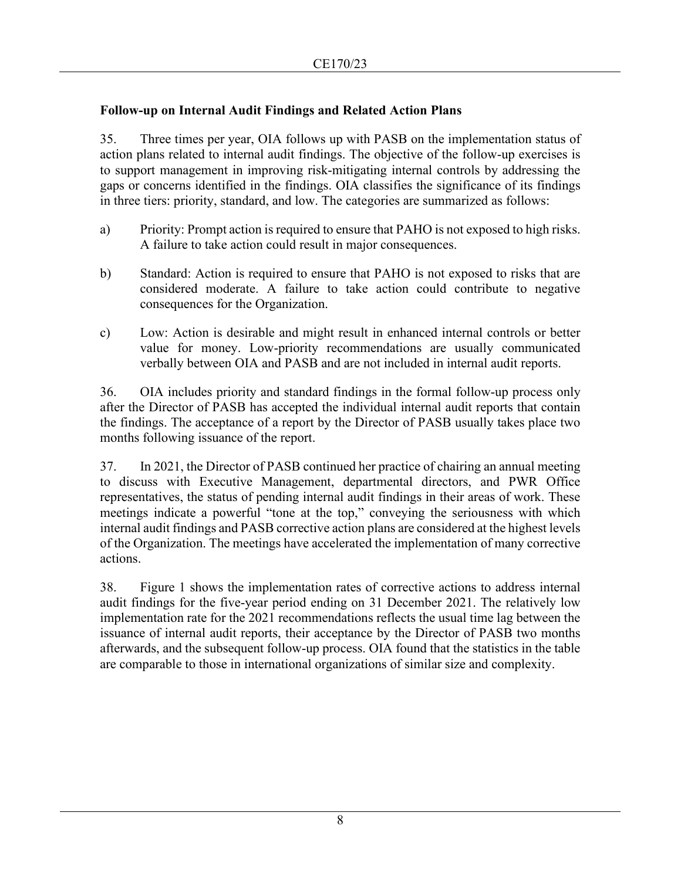# **Follow-up on Internal Audit Findings and Related Action Plans**

35. Three times per year, OIA follows up with PASB on the implementation status of action plans related to internal audit findings. The objective of the follow-up exercises is to support management in improving risk-mitigating internal controls by addressing the gaps or concerns identified in the findings. OIA classifies the significance of its findings in three tiers: priority, standard, and low. The categories are summarized as follows:

- a) Priority: Prompt action is required to ensure that PAHO is not exposed to high risks. A failure to take action could result in major consequences.
- b) Standard: Action is required to ensure that PAHO is not exposed to risks that are considered moderate. A failure to take action could contribute to negative consequences for the Organization.
- c) Low: Action is desirable and might result in enhanced internal controls or better value for money. Low-priority recommendations are usually communicated verbally between OIA and PASB and are not included in internal audit reports.

36. OIA includes priority and standard findings in the formal follow-up process only after the Director of PASB has accepted the individual internal audit reports that contain the findings. The acceptance of a report by the Director of PASB usually takes place two months following issuance of the report.

37. In 2021, the Director of PASB continued her practice of chairing an annual meeting to discuss with Executive Management, departmental directors, and PWR Office representatives, the status of pending internal audit findings in their areas of work. These meetings indicate a powerful "tone at the top," conveying the seriousness with which internal audit findings and PASB corrective action plans are considered at the highest levels of the Organization. The meetings have accelerated the implementation of many corrective actions.

38. Figure 1 shows the implementation rates of corrective actions to address internal audit findings for the five-year period ending on 31 December 2021. The relatively low implementation rate for the 2021 recommendations reflects the usual time lag between the issuance of internal audit reports, their acceptance by the Director of PASB two months afterwards, and the subsequent follow-up process. OIA found that the statistics in the table are comparable to those in international organizations of similar size and complexity.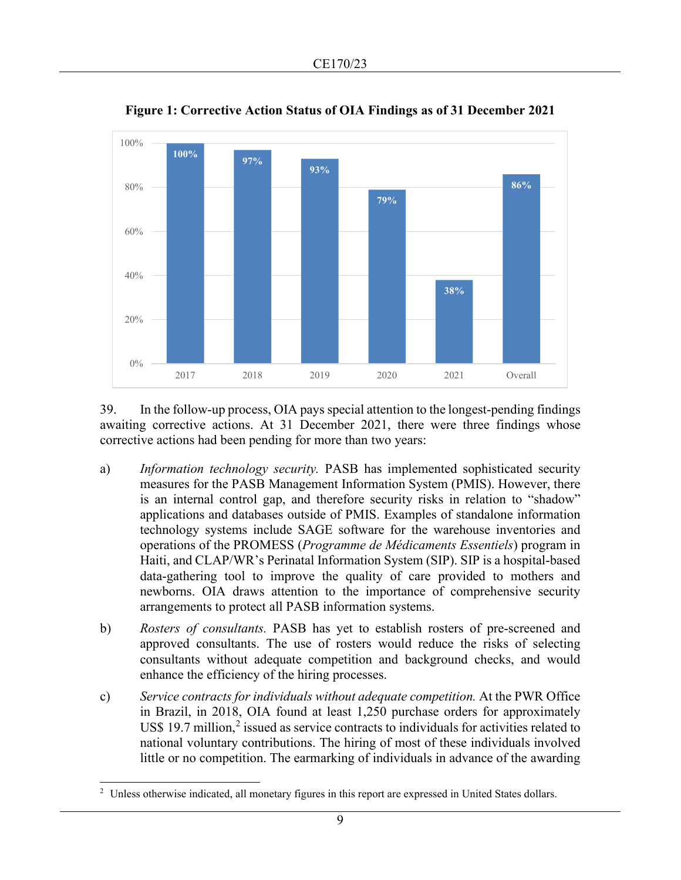

**Figure 1: Corrective Action Status of OIA Findings as of 31 December 2021**

39. In the follow-up process, OIA pays special attention to the longest-pending findings awaiting corrective actions. At 31 December 2021, there were three findings whose corrective actions had been pending for more than two years:

- a) *Information technology security.* PASB has implemented sophisticated security measures for the PASB Management Information System (PMIS). However, there is an internal control gap, and therefore security risks in relation to "shadow" applications and databases outside of PMIS. Examples of standalone information technology systems include SAGE software for the warehouse inventories and operations of the PROMESS (*Programme de Médicaments Essentiels*) program in Haiti, and CLAP/WR's Perinatal Information System (SIP). SIP is a hospital-based data-gathering tool to improve the quality of care provided to mothers and newborns. OIA draws attention to the importance of comprehensive security arrangements to protect all PASB information systems.
- b) *Rosters of consultants.* PASB has yet to establish rosters of pre-screened and approved consultants. The use of rosters would reduce the risks of selecting consultants without adequate competition and background checks, and would enhance the efficiency of the hiring processes.
- c) *Service contracts for individuals without adequate competition.* At the PWR Office in Brazil, in 2018, OIA found at least 1,250 purchase orders for approximately US\$ 19.7 million, [2](#page-8-0) issued as service contracts to individuals for activities related to national voluntary contributions. The hiring of most of these individuals involved little or no competition. The earmarking of individuals in advance of the awarding

<span id="page-8-0"></span><sup>&</sup>lt;sup>2</sup> Unless otherwise indicated, all monetary figures in this report are expressed in United States dollars.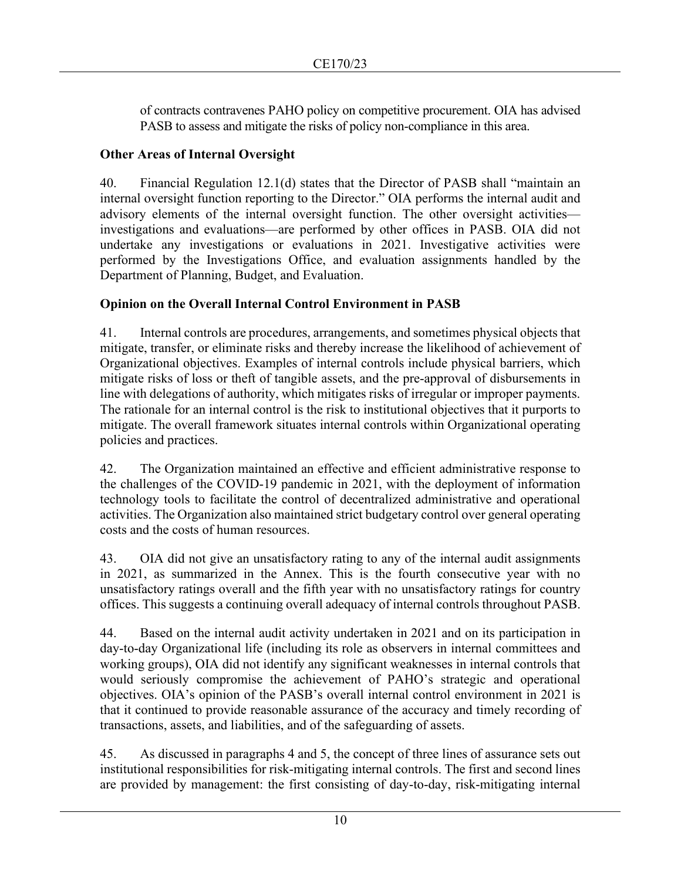of contracts contravenes PAHO policy on competitive procurement. OIA has advised PASB to assess and mitigate the risks of policy non-compliance in this area.

# **Other Areas of Internal Oversight**

40. Financial Regulation 12.1(d) states that the Director of PASB shall "maintain an internal oversight function reporting to the Director." OIA performs the internal audit and advisory elements of the internal oversight function. The other oversight activities investigations and evaluations—are performed by other offices in PASB. OIA did not undertake any investigations or evaluations in 2021. Investigative activities were performed by the Investigations Office, and evaluation assignments handled by the Department of Planning, Budget, and Evaluation.

# **Opinion on the Overall Internal Control Environment in PASB**

41. Internal controls are procedures, arrangements, and sometimes physical objects that mitigate, transfer, or eliminate risks and thereby increase the likelihood of achievement of Organizational objectives. Examples of internal controls include physical barriers, which mitigate risks of loss or theft of tangible assets, and the pre-approval of disbursements in line with delegations of authority, which mitigates risks of irregular or improper payments. The rationale for an internal control is the risk to institutional objectives that it purports to mitigate. The overall framework situates internal controls within Organizational operating policies and practices.

42. The Organization maintained an effective and efficient administrative response to the challenges of the COVID-19 pandemic in 2021, with the deployment of information technology tools to facilitate the control of decentralized administrative and operational activities. The Organization also maintained strict budgetary control over general operating costs and the costs of human resources.

43. OIA did not give an unsatisfactory rating to any of the internal audit assignments in 2021, as summarized in the Annex. This is the fourth consecutive year with no unsatisfactory ratings overall and the fifth year with no unsatisfactory ratings for country offices. This suggests a continuing overall adequacy of internal controls throughout PASB.

44. Based on the internal audit activity undertaken in 2021 and on its participation in day-to-day Organizational life (including its role as observers in internal committees and working groups), OIA did not identify any significant weaknesses in internal controls that would seriously compromise the achievement of PAHO's strategic and operational objectives. OIA's opinion of the PASB's overall internal control environment in 2021 is that it continued to provide reasonable assurance of the accuracy and timely recording of transactions, assets, and liabilities, and of the safeguarding of assets.

45. As discussed in paragraphs 4 and 5, the concept of three lines of assurance sets out institutional responsibilities for risk-mitigating internal controls. The first and second lines are provided by management: the first consisting of day-to-day, risk-mitigating internal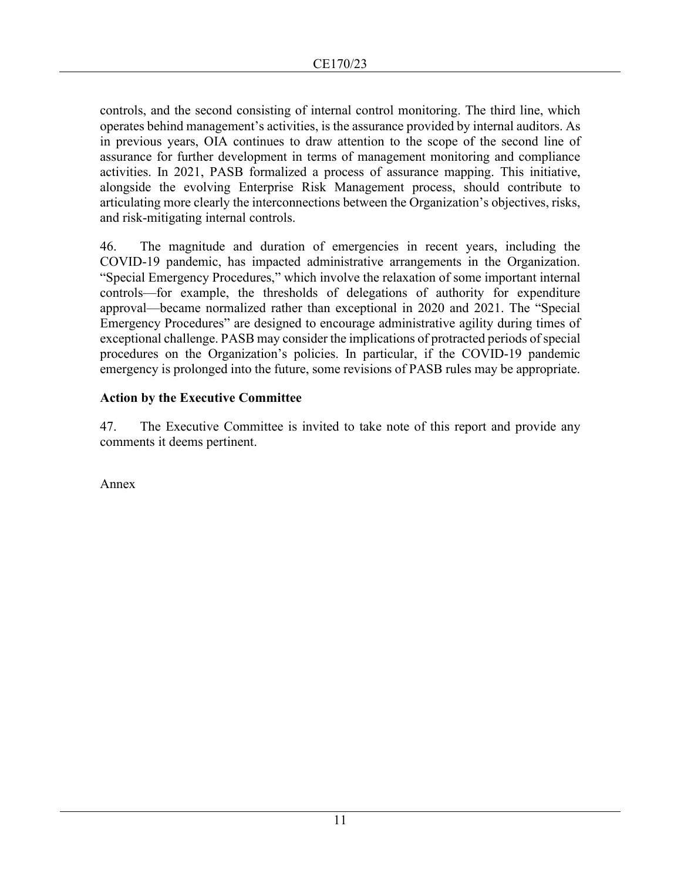controls, and the second consisting of internal control monitoring. The third line, which operates behind management's activities, is the assurance provided by internal auditors. As in previous years, OIA continues to draw attention to the scope of the second line of assurance for further development in terms of management monitoring and compliance activities. In 2021, PASB formalized a process of assurance mapping. This initiative, alongside the evolving Enterprise Risk Management process, should contribute to articulating more clearly the interconnections between the Organization's objectives, risks, and risk-mitigating internal controls.

46. The magnitude and duration of emergencies in recent years, including the COVID-19 pandemic, has impacted administrative arrangements in the Organization. "Special Emergency Procedures," which involve the relaxation of some important internal controls—for example, the thresholds of delegations of authority for expenditure approval—became normalized rather than exceptional in 2020 and 2021. The "Special Emergency Procedures" are designed to encourage administrative agility during times of exceptional challenge. PASB may consider the implications of protracted periods of special procedures on the Organization's policies. In particular, if the COVID-19 pandemic emergency is prolonged into the future, some revisions of PASB rules may be appropriate.

#### **Action by the Executive Committee**

47. The Executive Committee is invited to take note of this report and provide any comments it deems pertinent.

Annex